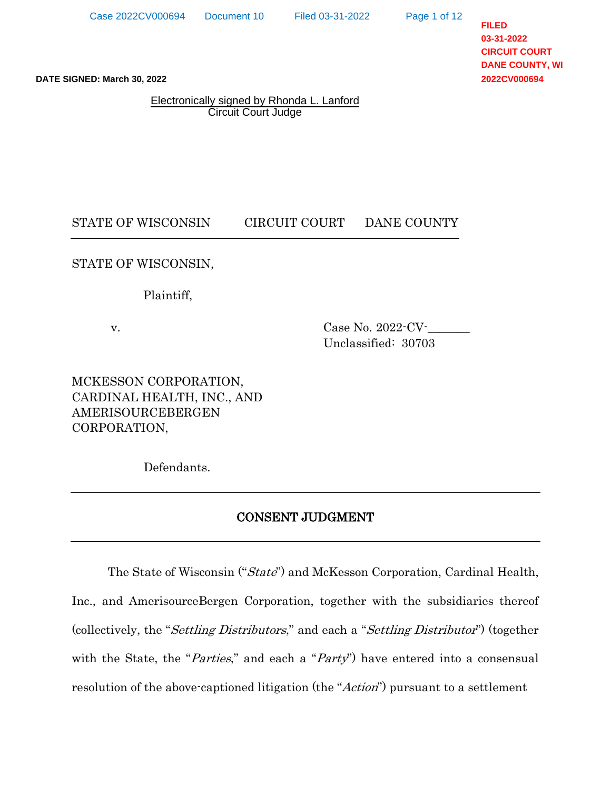Page 1 of 12

**FILED 03-31-2022 CIRCUIT COURT DANE COUNTY, WI 2022CV000694**

Electronically signed by Rhonda L. Lanford Circuit Court Judge

STATE OF WISCONSIN CIRCUIT COURT DANE COUNTY

### STATE OF WISCONSIN,

Plaintiff,

v. Case No. 2022-CV-Unclassified: 30703

MCKESSON CORPORATION, CARDINAL HEALTH, INC., AND AMERISOURCEBERGEN CORPORATION,

Defendants.

## CONSENT JUDGMENT

The State of Wisconsin ("State") and McKesson Corporation, Cardinal Health, Inc., and AmerisourceBergen Corporation, together with the subsidiaries thereof (collectively, the "Settling Distributors," and each a "Settling Distributor") (together with the State, the "*Parties*," and each a "*Party*") have entered into a consensual Exact of the above-captional of the above-captioned littlement of the above-caption of the above-captional control of the above-caption (the method) pursuant to a settlement of the Side of the "Action") pursuant to a settl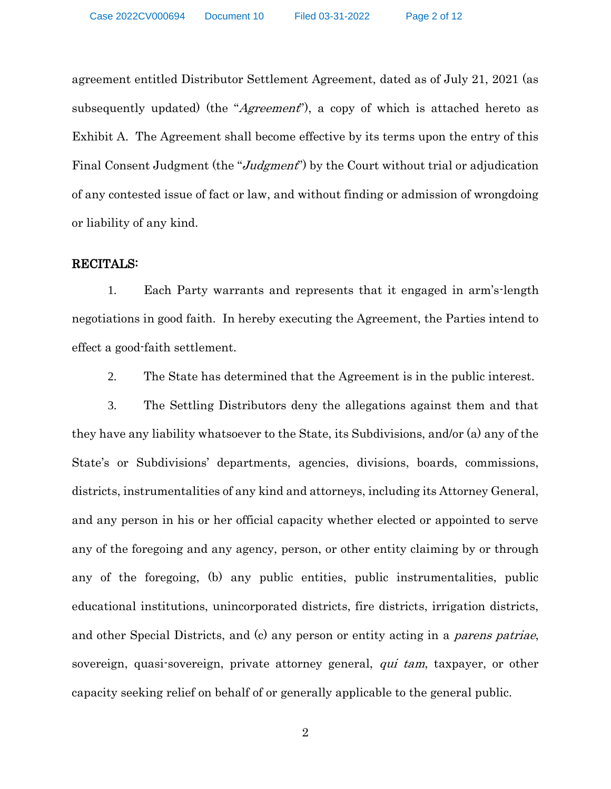agreement entitled Distributor Settlement Agreement, dated as of July 21, 2021 (as subsequently updated) (the "*Agreement*"), a copy of which is attached hereto as Exhibit A. The Agreement shall become effective by its terms upon the entry of this Final Consent Judgment (the "*Judgment*") by the Court without trial or adjudication of any contested issue of fact or law, and without finding or admission of wrongdoing or liability of any kind.

#### RECITALS:

1. Each Party warrants and represents that it engaged in arm's-length negotiations in good faith. In hereby executing the Agreement, the Parties intend to effect a good-faith settlement.

2. The State has determined that the Agreement is in the public interest.

3. The Settling Distributors deny the allegations against them and that they have any liability whatsoever to the State, its Subdivisions, and/or (a) any of the State's or Subdivisions' departments, agencies, divisions, boards, commissions, districts, instrumentalities of any kind and attorneys, including its Attorney General, and any person in his or her official capacity whether elected or appointed to serve any of the foregoing and any agency, person, or other entity claiming by or through any of the foregoing, (b) any public entities, public instrumentalities, public educational institutions, unincorporated districts, fire districts, irrigation districts, and other Special Districts, and (c) any person or entity acting in a *parens patriae*, sovereign, quasi-sovereign, private attorney general, *qui tam*, taxpayer, or other capacity seeking relief on behalf of or generally applicable to the general public.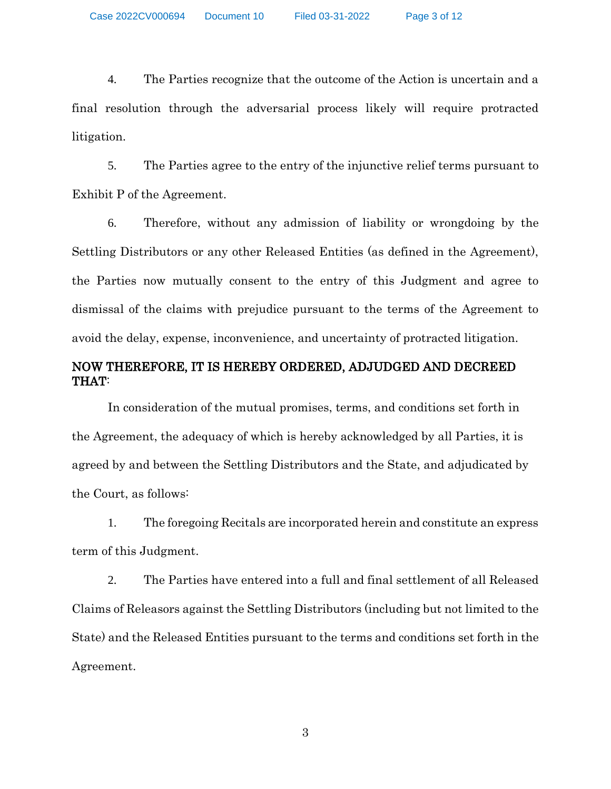Case 2022CV000694 Document 10 Filed 03-31-2022 Page 3 of 12

4. The Parties recognize that the outcome of the Action is uncertain and a final resolution through the adversarial process likely will require protracted litigation.

5. The Parties agree to the entry of the injunctive relief terms pursuant to Exhibit P of the Agreement.

6. Therefore, without any admission of liability or wrongdoing by the Settling Distributors or any other Released Entities (as defined in the Agreement), the Parties now mutually consent to the entry of this Judgment and agree to dismissal of the claims with prejudice pursuant to the terms of the Agreement to avoid the delay, expense, inconvenience, and uncertainty of protracted litigation.

# NOW THEREFORE, IT IS HEREBY ORDERED, ADJUDGED AND DECREED THAT:

In consideration of the mutual promises, terms, and conditions set forth in the Agreement, the adequacy of which is hereby acknowledged by all Parties, it is agreed by and between the Settling Distributors and the State, and adjudicated by the Court, as follows:

1. The foregoing Recitals are incorporated herein and constitute an express term of this Judgment.

2. The Parties have entered into a full and final settlement of all Released Claims of Releasors against the Settling Distributors (including but not limited to the State) and the Released Entities pursuant to the terms and conditions set forth in the Agreement.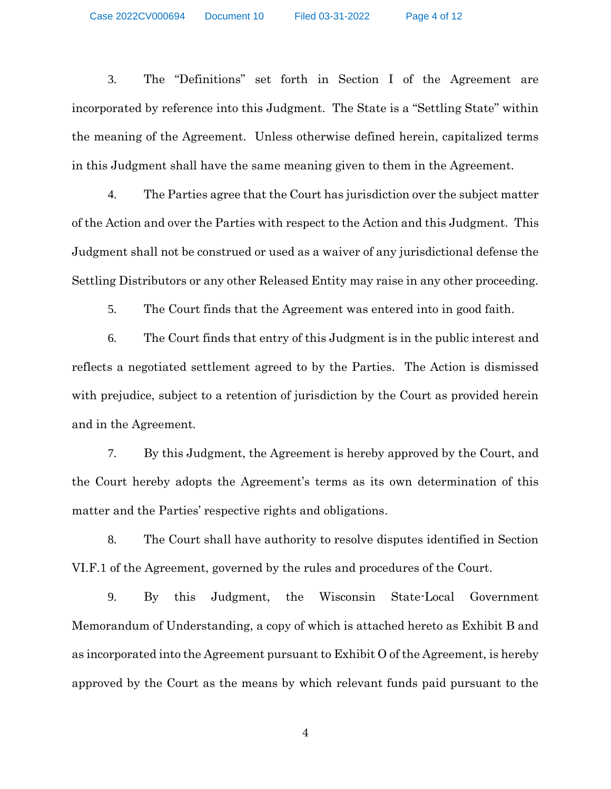3. The "Definitions" set forth in Section I of the Agreement are incorporated by reference into this Judgment. The State is a "Settling State" within the meaning of the Agreement. Unless otherwise defined herein, capitalized terms in this Judgment shall have the same meaning given to them in the Agreement.

4. The Parties agree that the Court has jurisdiction over the subject matter of the Action and over the Parties with respect to the Action and this Judgment. This Judgment shall not be construed or used as a waiver of any jurisdictional defense the Settling Distributors or any other Released Entity may raise in any other proceeding.

5. The Court finds that the Agreement was entered into in good faith.

6. The Court finds that entry of this Judgment is in the public interest and reflects a negotiated settlement agreed to by the Parties. The Action is dismissed with prejudice, subject to a retention of jurisdiction by the Court as provided herein and in the Agreement.

7. By this Judgment, the Agreement is hereby approved by the Court, and the Court hereby adopts the Agreement's terms as its own determination of this matter and the Parties' respective rights and obligations.

8. The Court shall have authority to resolve disputes identified in Section VI.F.1 of the Agreement, governed by the rules and procedures of the Court.

9. By this Judgment, the Wisconsin State-Local Government Memorandum of Understanding, a copy of which is attached hereto as Exhibit B and as incorporated into the Agreement pursuant to Exhibit O of the Agreement, is hereby approved by the Court as the means by which relevant funds paid pursuant to the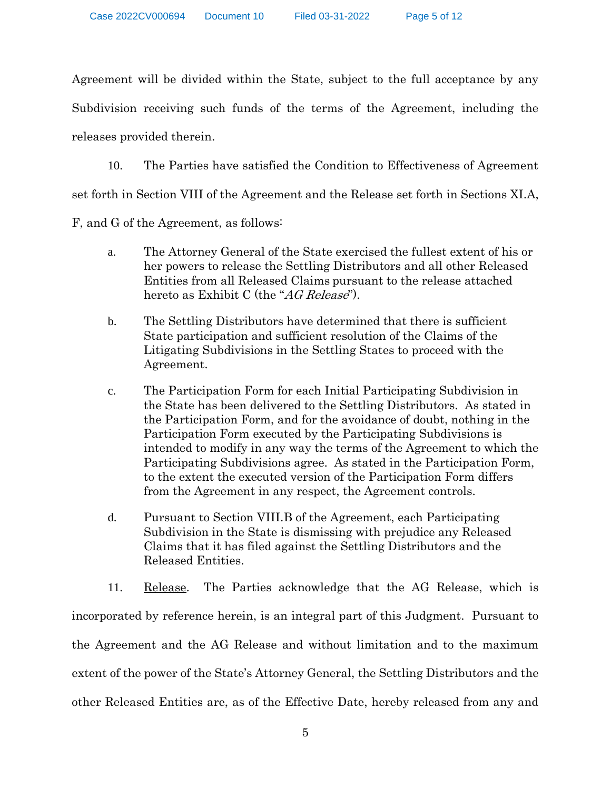Agreement will be divided within the State, subject to the full acceptance by any Subdivision receiving such funds of the terms of the Agreement, including the releases provided therein.

10. The Parties have satisfied the Condition to Effectiveness of Agreement

set forth in Section VIII of the Agreement and the Release set forth in Sections XI.A,

F, and G of the Agreement, as follows:

- a. The Attorney General of the State exercised the fullest extent of his or her powers to release the Settling Distributors and all other Released Entities from all Released Claims pursuant to the release attached hereto as Exhibit C (the "AG Release").
- b. The Settling Distributors have determined that there is sufficient State participation and sufficient resolution of the Claims of the Litigating Subdivisions in the Settling States to proceed with the Agreement.
- c. The Participation Form for each Initial Participating Subdivision in the State has been delivered to the Settling Distributors. As stated in the Participation Form, and for the avoidance of doubt, nothing in the Participation Form executed by the Participating Subdivisions is intended to modify in any way the terms of the Agreement to which the Participating Subdivisions agree. As stated in the Participation Form, to the extent the executed version of the Participation Form differs from the Agreement in any respect, the Agreement controls.
- d. Pursuant to Section VIII.B of the Agreement, each Participating Subdivision in the State is dismissing with prejudice any Released Claims that it has filed against the Settling Distributors and the Released Entities.

11. Release. The Parties acknowledge that the AG Release, which is incorporated by reference herein, is an integral part of this Judgment. Pursuant to the Agreement and the AG Release and without limitation and to the maximum extent of the power of the State's Attorney General, the Settling Distributors and the other Released Entities are, as of the Effective Date, hereby released from any and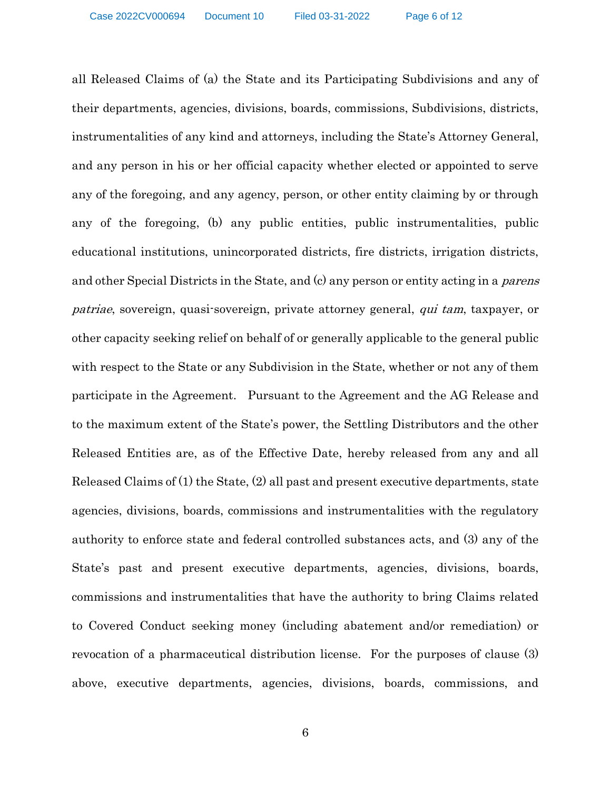all Released Claims of (a) the State and its Participating Subdivisions and any of their departments, agencies, divisions, boards, commissions, Subdivisions, districts, instrumentalities of any kind and attorneys, including the State's Attorney General, and any person in his or her official capacity whether elected or appointed to serve any of the foregoing, and any agency, person, or other entity claiming by or through any of the foregoing, (b) any public entities, public instrumentalities, public educational institutions, unincorporated districts, fire districts, irrigation districts, and other Special Districts in the State, and (c) any person or entity acting in a parens patriae, sovereign, quasi-sovereign, private attorney general, qui tam, taxpayer, or other capacity seeking relief on behalf of or generally applicable to the general public with respect to the State or any Subdivision in the State, whether or not any of them participate in the Agreement. Pursuant to the Agreement and the AG Release and to the maximum extent of the State's power, the Settling Distributors and the other Released Entities are, as of the Effective Date, hereby released from any and all Released Claims of (1) the State, (2) all past and present executive departments, state agencies, divisions, boards, commissions and instrumentalities with the regulatory authority to enforce state and federal controlled substances acts, and (3) any of the State's past and present executive departments, agencies, divisions, boards, commissions and instrumentalities that have the authority to bring Claims related to Covered Conduct seeking money (including abatement and/or remediation) or revocation of a pharmaceutical distribution license. For the purposes of clause (3) above, executive departments, agencies, divisions, boards, commissions, and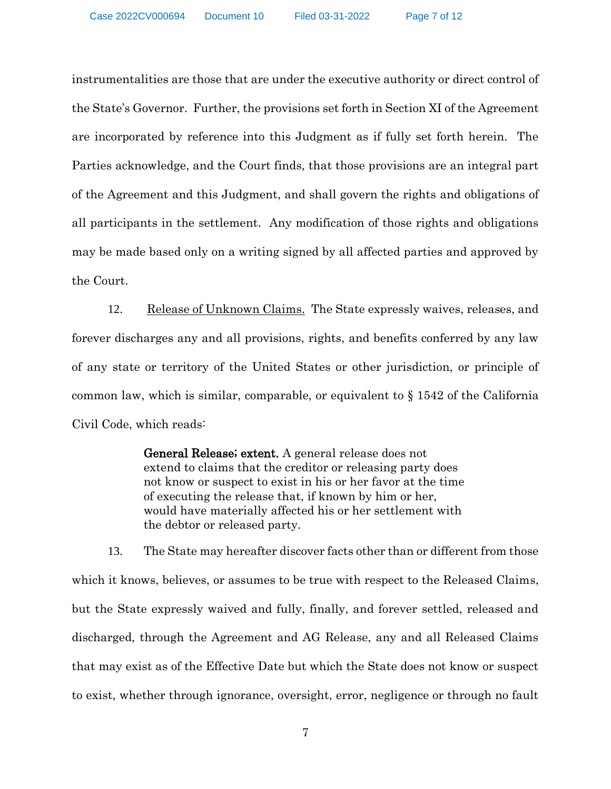instrumentalities are those that are under the executive authority or direct control of the State's Governor. Further, the provisions set forth in Section XI of the Agreement are incorporated by reference into this Judgment as if fully set forth herein. The Parties acknowledge, and the Court finds, that those provisions are an integral part of the Agreement and this Judgment, and shall govern the rights and obligations of all participants in the settlement. Any modification of those rights and obligations may be made based only on a writing signed by all affected parties and approved by the Court.

12. Release of Unknown Claims. The State expressly waives, releases, and forever discharges any and all provisions, rights, and benefits conferred by any law of any state or territory of the United States or other jurisdiction, or principle of common law, which is similar, comparable, or equivalent to § 1542 of the California Civil Code, which reads:

> General Release; extent. A general release does not extend to claims that the creditor or releasing party does not know or suspect to exist in his or her favor at the time of executing the release that, if known by him or her, would have materially affected his or her settlement with the debtor or released party.

13. The State may hereafter discover facts other than or different from those which it knows, believes, or assumes to be true with respect to the Released Claims, but the State expressly waived and fully, finally, and forever settled, released and discharged, through the Agreement and AG Release, any and all Released Claims that may exist as of the Effective Date but which the State does not know or suspect to exist, whether through ignorance, oversight, error, negligence or through no fault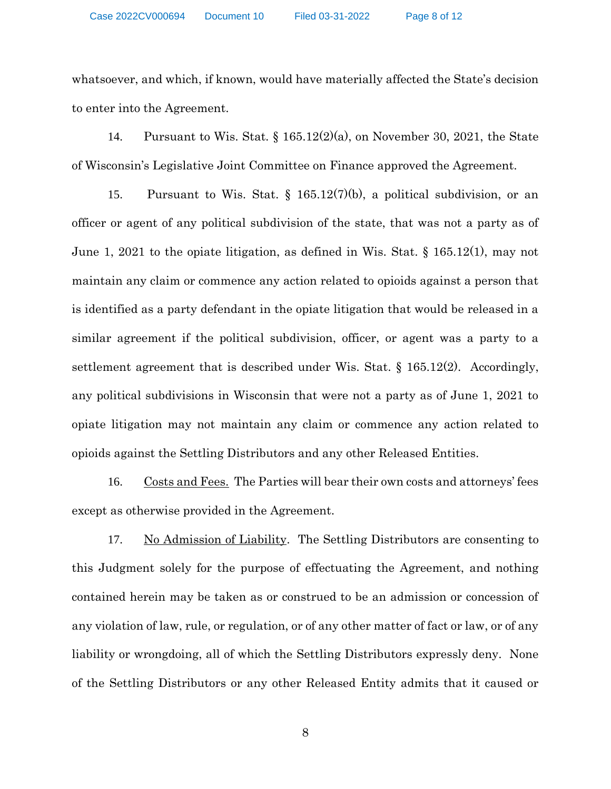whatsoever, and which, if known, would have materially affected the State's decision to enter into the Agreement.

14. Pursuant to Wis. Stat.  $\S 165.12(2)(a)$ , on November 30, 2021, the State of Wisconsin's Legislative Joint Committee on Finance approved the Agreement.

15. Pursuant to Wis. Stat. § 165.12(7)(b), a political subdivision, or an officer or agent of any political subdivision of the state, that was not a party as of June 1, 2021 to the opiate litigation, as defined in Wis. Stat. § 165.12(1), may not maintain any claim or commence any action related to opioids against a person that is identified as a party defendant in the opiate litigation that would be released in a similar agreement if the political subdivision, officer, or agent was a party to a settlement agreement that is described under Wis. Stat. § 165.12(2). Accordingly, any political subdivisions in Wisconsin that were not a party as of June 1, 2021 to opiate litigation may not maintain any claim or commence any action related to opioids against the Settling Distributors and any other Released Entities.

16. Costs and Fees. The Parties will bear their own costs and attorneys' fees except as otherwise provided in the Agreement.

17. No Admission of Liability. The Settling Distributors are consenting to this Judgment solely for the purpose of effectuating the Agreement, and nothing contained herein may be taken as or construed to be an admission or concession of any violation of law, rule, or regulation, or of any other matter of fact or law, or of any liability or wrongdoing, all of which the Settling Distributors expressly deny. None of the Settling Distributors or any other Released Entity admits that it caused or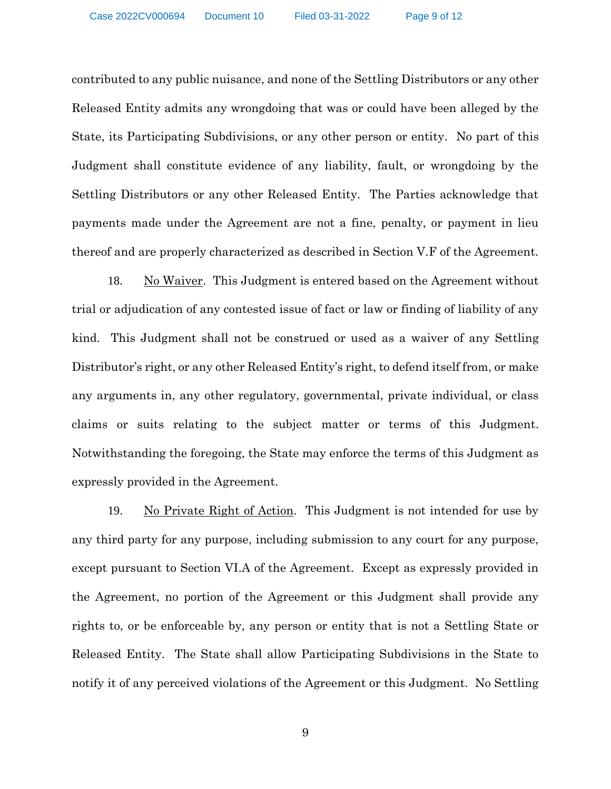contributed to any public nuisance, and none of the Settling Distributors or any other Released Entity admits any wrongdoing that was or could have been alleged by the State, its Participating Subdivisions, or any other person or entity. No part of this Judgment shall constitute evidence of any liability, fault, or wrongdoing by the Settling Distributors or any other Released Entity. The Parties acknowledge that payments made under the Agreement are not a fine, penalty, or payment in lieu thereof and are properly characterized as described in Section V.F of the Agreement.

18. No Waiver. This Judgment is entered based on the Agreement without trial or adjudication of any contested issue of fact or law or finding of liability of any kind. This Judgment shall not be construed or used as a waiver of any Settling Distributor's right, or any other Released Entity's right, to defend itself from, or make any arguments in, any other regulatory, governmental, private individual, or class claims or suits relating to the subject matter or terms of this Judgment. Notwithstanding the foregoing, the State may enforce the terms of this Judgment as expressly provided in the Agreement.

19. No Private Right of Action. This Judgment is not intended for use by any third party for any purpose, including submission to any court for any purpose, except pursuant to Section VI.A of the Agreement. Except as expressly provided in the Agreement, no portion of the Agreement or this Judgment shall provide any rights to, or be enforceable by, any person or entity that is not a Settling State or Released Entity. The State shall allow Participating Subdivisions in the State to notify it of any perceived violations of the Agreement or this Judgment. No Settling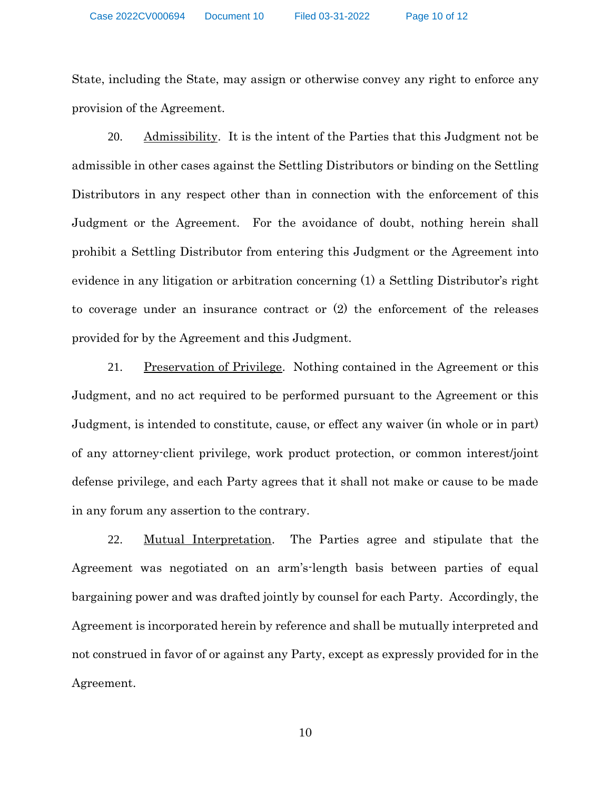State, including the State, may assign or otherwise convey any right to enforce any provision of the Agreement.

20. Admissibility. It is the intent of the Parties that this Judgment not be admissible in other cases against the Settling Distributors or binding on the Settling Distributors in any respect other than in connection with the enforcement of this Judgment or the Agreement. For the avoidance of doubt, nothing herein shall prohibit a Settling Distributor from entering this Judgment or the Agreement into evidence in any litigation or arbitration concerning (1) a Settling Distributor's right to coverage under an insurance contract or (2) the enforcement of the releases provided for by the Agreement and this Judgment.

21. Preservation of Privilege. Nothing contained in the Agreement or this Judgment, and no act required to be performed pursuant to the Agreement or this Judgment, is intended to constitute, cause, or effect any waiver (in whole or in part) of any attorney-client privilege, work product protection, or common interest/joint defense privilege, and each Party agrees that it shall not make or cause to be made in any forum any assertion to the contrary.

22. Mutual Interpretation. The Parties agree and stipulate that the Agreement was negotiated on an arm's-length basis between parties of equal bargaining power and was drafted jointly by counsel for each Party. Accordingly, the Agreement is incorporated herein by reference and shall be mutually interpreted and not construed in favor of or against any Party, except as expressly provided for in the Agreement.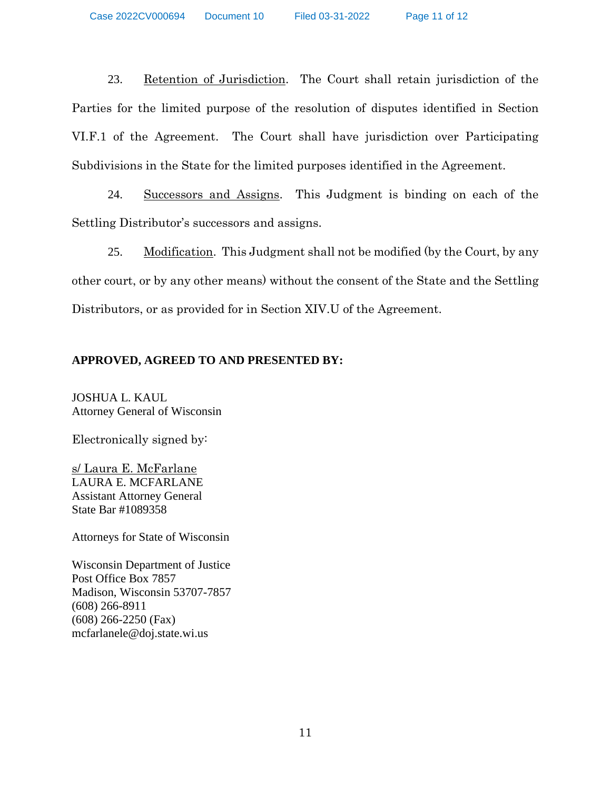23. Retention of Jurisdiction. The Court shall retain jurisdiction of the Parties for the limited purpose of the resolution of disputes identified in Section VI.F.1 of the Agreement. The Court shall have jurisdiction over Participating Subdivisions in the State for the limited purposes identified in the Agreement.

24. Successors and Assigns. This Judgment is binding on each of the Settling Distributor's successors and assigns.

25. Modification. This Judgment shall not be modified (by the Court, by any other court, or by any other means) without the consent of the State and the Settling Distributors, or as provided for in Section XIV.U of the Agreement.

# **APPROVED, AGREED TO AND PRESENTED BY:**

JOSHUA L. KAUL Attorney General of Wisconsin

Electronically signed by:

s/ Laura E. McFarlane LAURA E. MCFARLANE Assistant Attorney General State Bar #1089358

Attorneys for State of Wisconsin

Wisconsin Department of Justice Post Office Box 7857 Madison, Wisconsin 53707-7857 (608) 266-8911 (608) 266-2250 (Fax) mcfarlanele@doj.state.wi.us